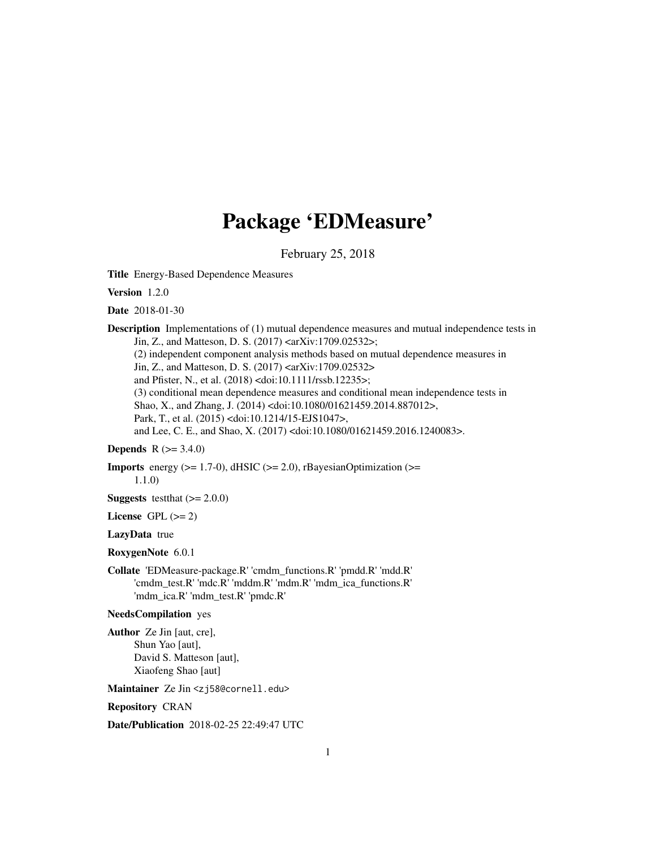## Package 'EDMeasure'

February 25, 2018

Title Energy-Based Dependence Measures

Version 1.2.0

Date 2018-01-30

**Description** Implementations of (1) mutual dependence measures and mutual independence tests in Jin, Z., and Matteson, D. S. (2017) <arXiv:1709.02532>;

(2) independent component analysis methods based on mutual dependence measures in

Jin, Z., and Matteson, D. S. (2017) <arXiv:1709.02532>

and Pfister, N., et al. (2018) <doi:10.1111/rssb.12235>;

(3) conditional mean dependence measures and conditional mean independence tests in Shao, X., and Zhang, J. (2014) <doi:10.1080/01621459.2014.887012>, Park, T., et al. (2015) <doi:10.1214/15-EJS1047>,

and Lee, C. E., and Shao, X. (2017) <doi:10.1080/01621459.2016.1240083>.

### **Depends** R  $(>= 3.4.0)$

**Imports** energy  $(>= 1.7-0)$ , dHSIC  $(>= 2.0)$ , rBayesianOptimization  $(>=$ 1.1.0)

**Suggests** testthat  $(>= 2.0.0)$ 

License GPL  $(>= 2)$ 

#### LazyData true

#### RoxygenNote 6.0.1

Collate 'EDMeasure-package.R' 'cmdm\_functions.R' 'pmdd.R' 'mdd.R' 'cmdm\_test.R' 'mdc.R' 'mddm.R' 'mdm.R' 'mdm\_ica\_functions.R' 'mdm\_ica.R' 'mdm\_test.R' 'pmdc.R'

#### NeedsCompilation yes

Author Ze Jin [aut, cre], Shun Yao [aut], David S. Matteson [aut], Xiaofeng Shao [aut]

Maintainer Ze Jin <zj58@cornell.edu>

#### Repository CRAN

Date/Publication 2018-02-25 22:49:47 UTC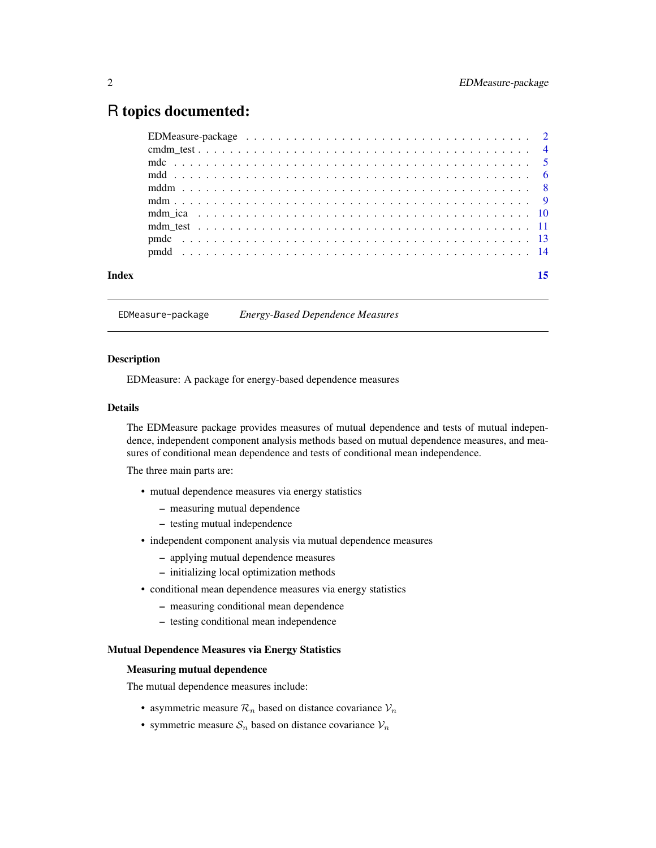### <span id="page-1-0"></span>R topics documented:

EDMeasure-package *Energy-Based Dependence Measures*

#### Description

EDMeasure: A package for energy-based dependence measures

#### Details

The EDMeasure package provides measures of mutual dependence and tests of mutual independence, independent component analysis methods based on mutual dependence measures, and measures of conditional mean dependence and tests of conditional mean independence.

The three main parts are:

- mutual dependence measures via energy statistics
	- measuring mutual dependence
	- testing mutual independence
- independent component analysis via mutual dependence measures
	- applying mutual dependence measures
	- initializing local optimization methods
- conditional mean dependence measures via energy statistics
	- measuring conditional mean dependence
	- testing conditional mean independence

#### Mutual Dependence Measures via Energy Statistics

#### Measuring mutual dependence

The mutual dependence measures include:

- asymmetric measure  $\mathcal{R}_n$  based on distance covariance  $\mathcal{V}_n$
- symmetric measure  $S_n$  based on distance covariance  $V_n$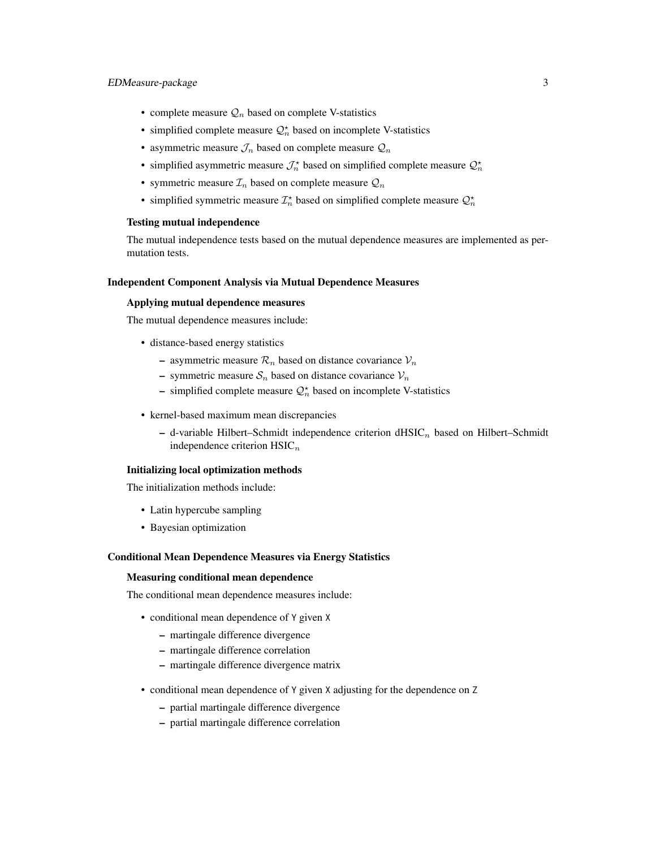#### EDMeasure-package 3

- complete measure  $\mathcal{Q}_n$  based on complete V-statistics
- simplified complete measure  $\mathcal{Q}_n^*$  based on incomplete V-statistics
- asymmetric measure  $\mathcal{J}_n$  based on complete measure  $\mathcal{Q}_n$
- simplified asymmetric measure  $\mathcal{J}_n^*$  based on simplified complete measure  $\mathcal{Q}_n^*$
- symmetric measure  $\mathcal{I}_n$  based on complete measure  $\mathcal{Q}_n$
- simplified symmetric measure  $\mathcal{I}_n^*$  based on simplified complete measure  $\mathcal{Q}_n^*$

#### Testing mutual independence

The mutual independence tests based on the mutual dependence measures are implemented as permutation tests.

#### Independent Component Analysis via Mutual Dependence Measures

#### Applying mutual dependence measures

The mutual dependence measures include:

- distance-based energy statistics
	- asymmetric measure  $\mathcal{R}_n$  based on distance covariance  $\mathcal{V}_n$
	- symmetric measure  $S_n$  based on distance covariance  $V_n$
	- simplified complete measure  $\mathcal{Q}_n^*$  based on incomplete V-statistics
- kernel-based maximum mean discrepancies
	- d-variable Hilbert–Schmidt independence criterion  $dHSLC_n$  based on Hilbert–Schmidt independence criterion  $HSLC_n$

#### Initializing local optimization methods

The initialization methods include:

- Latin hypercube sampling
- Bayesian optimization

#### Conditional Mean Dependence Measures via Energy Statistics

#### Measuring conditional mean dependence

The conditional mean dependence measures include:

- conditional mean dependence of Y given X
	- martingale difference divergence
	- martingale difference correlation
	- martingale difference divergence matrix
- conditional mean dependence of Y given X adjusting for the dependence on Z
	- partial martingale difference divergence
	- partial martingale difference correlation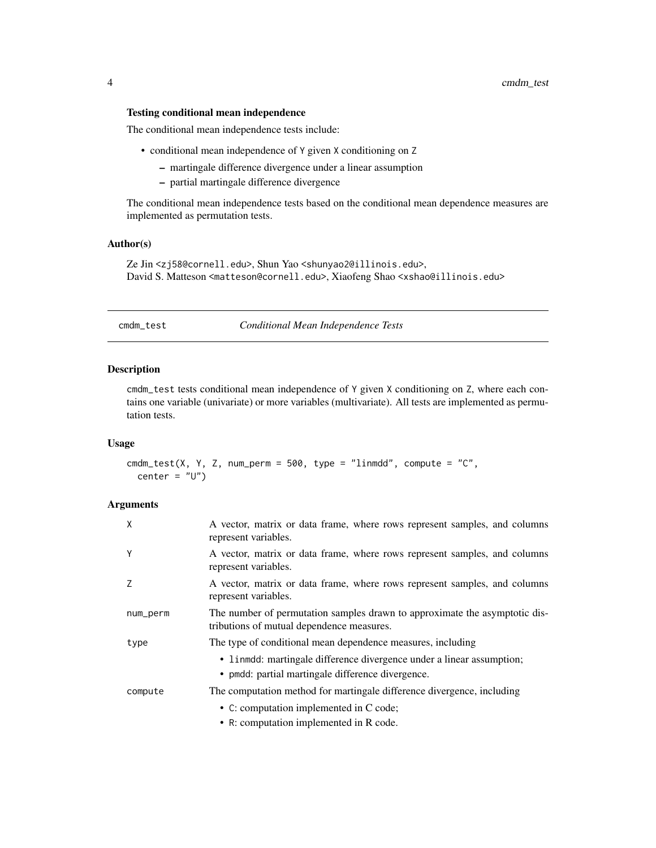#### <span id="page-3-0"></span>Testing conditional mean independence

The conditional mean independence tests include:

- conditional mean independence of Y given X conditioning on Z
	- martingale difference divergence under a linear assumption
	- partial martingale difference divergence

The conditional mean independence tests based on the conditional mean dependence measures are implemented as permutation tests.

#### Author(s)

Ze Jin <zj58@cornell.edu>, Shun Yao <shunyao2@illinois.edu>, David S. Matteson <matteson@cornell.edu>, Xiaofeng Shao <xshao@illinois.edu>

cmdm\_test *Conditional Mean Independence Tests*

#### Description

cmdm\_test tests conditional mean independence of Y given X conditioning on Z, where each contains one variable (univariate) or more variables (multivariate). All tests are implemented as permutation tests.

#### Usage

cmdm\_test(X, Y, Z, num\_perm =  $500$ , type = "linmdd", compute = "C", center =  $"U"$ )

#### Arguments

| X        | A vector, matrix or data frame, where rows represent samples, and columns<br>represent variables.                          |
|----------|----------------------------------------------------------------------------------------------------------------------------|
| Y        | A vector, matrix or data frame, where rows represent samples, and columns<br>represent variables.                          |
| 7        | A vector, matrix or data frame, where rows represent samples, and columns<br>represent variables.                          |
| num_perm | The number of permutation samples drawn to approximate the asymptotic dis-<br>tributions of mutual dependence measures.    |
| type     | The type of conditional mean dependence measures, including                                                                |
|          | • linmdd: martingale difference divergence under a linear assumption;<br>• pmdd: partial martingale difference divergence. |
| compute  | The computation method for martingale difference divergence, including                                                     |
|          | • C: computation implemented in C code;                                                                                    |
|          | • R: computation implemented in R code.                                                                                    |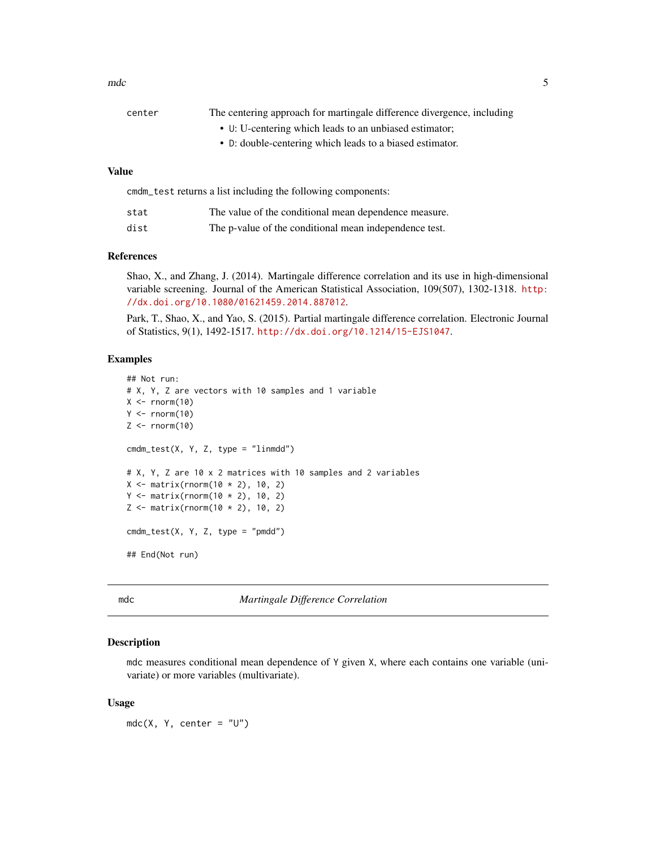<span id="page-4-0"></span>

| center | The centering approach for martingale difference divergence, including |
|--------|------------------------------------------------------------------------|
|        | • U: U-centering which leads to an unbiased estimator;                 |
|        | • D: double-centering which leads to a biased estimator.               |
|        |                                                                        |

### Value

| emdm test returns a list including the following components: |                                                        |  |
|--------------------------------------------------------------|--------------------------------------------------------|--|
| stat                                                         | The value of the conditional mean dependence measure.  |  |
| dist                                                         | The p-value of the conditional mean independence test. |  |

#### References

Shao, X., and Zhang, J. (2014). Martingale difference correlation and its use in high-dimensional variable screening. Journal of the American Statistical Association, 109(507), 1302-1318. [http:](http://dx.doi.org/10.1080/01621459.2014.887012) [//dx.doi.org/10.1080/01621459.2014.887012](http://dx.doi.org/10.1080/01621459.2014.887012).

Park, T., Shao, X., and Yao, S. (2015). Partial martingale difference correlation. Electronic Journal of Statistics, 9(1), 1492-1517. <http://dx.doi.org/10.1214/15-EJS1047>.

#### Examples

```
## Not run:
# X, Y, Z are vectors with 10 samples and 1 variable
X \leftarrow \text{norm}(10)Y \leftarrow \text{norm}(10)Z \leftarrow \text{rnorm}(10)cmd_test(X, Y, Z, type = "limmdd")# X, Y, Z are 10 x 2 matrices with 10 samples and 2 variables
X \leq - matrix(rnorm(10 * 2), 10, 2)
Y \leq - matrix(rnorm(10 * 2), 10, 2)
Z \leq - matrix(rnorm(10 * 2), 10, 2)
cmdm_test(X, Y, Z, type = "pmdd")## End(Not run)
```
mdc *Martingale Difference Correlation*

#### Description

mdc measures conditional mean dependence of Y given X, where each contains one variable (univariate) or more variables (multivariate).

#### Usage

 $mdc(X, Y, center = "U")$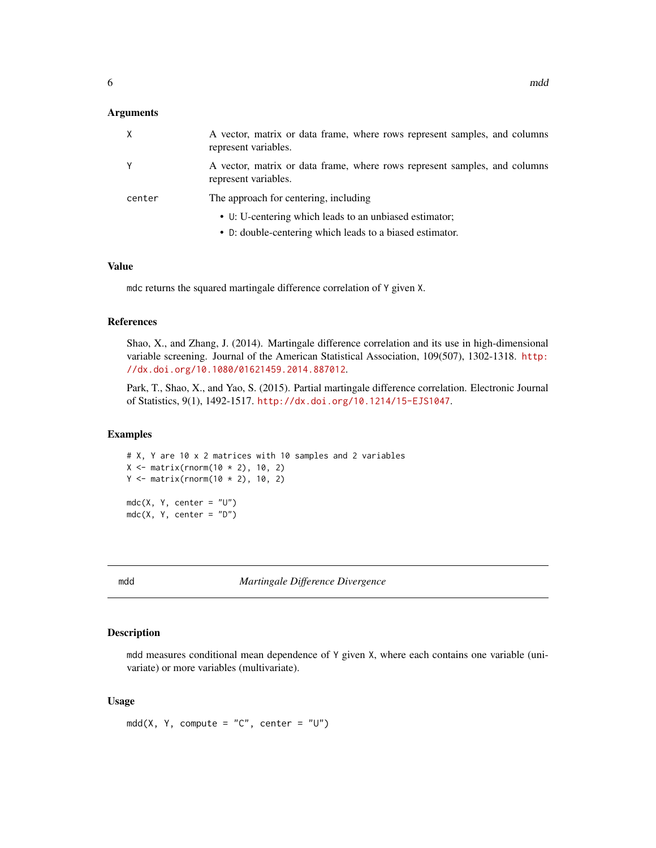#### <span id="page-5-0"></span>**Arguments**

|        | A vector, matrix or data frame, where rows represent samples, and columns<br>represent variables. |
|--------|---------------------------------------------------------------------------------------------------|
| Y      | A vector, matrix or data frame, where rows represent samples, and columns<br>represent variables. |
| center | The approach for centering, including                                                             |
|        | • U: U-centering which leads to an unbiased estimator;                                            |
|        | • D: double-centering which leads to a biased estimator.                                          |

#### Value

mdc returns the squared martingale difference correlation of Y given X.

#### References

Shao, X., and Zhang, J. (2014). Martingale difference correlation and its use in high-dimensional variable screening. Journal of the American Statistical Association, 109(507), 1302-1318. [http:](http://dx.doi.org/10.1080/01621459.2014.887012) [//dx.doi.org/10.1080/01621459.2014.887012](http://dx.doi.org/10.1080/01621459.2014.887012).

Park, T., Shao, X., and Yao, S. (2015). Partial martingale difference correlation. Electronic Journal of Statistics, 9(1), 1492-1517. <http://dx.doi.org/10.1214/15-EJS1047>.

#### Examples

```
# X, Y are 10 x 2 matrices with 10 samples and 2 variables
X \leq - matrix(rnorm(10 * 2), 10, 2)
Y \le - matrix(rnorm(10 * 2), 10, 2)
mdc(X, Y, center = "U")mdc(X, Y, center = "D")
```
mdd *Martingale Difference Divergence*

#### Description

mdd measures conditional mean dependence of Y given X, where each contains one variable (univariate) or more variables (multivariate).

#### Usage

 $mdd(X, Y, compute = "C", center = "U")$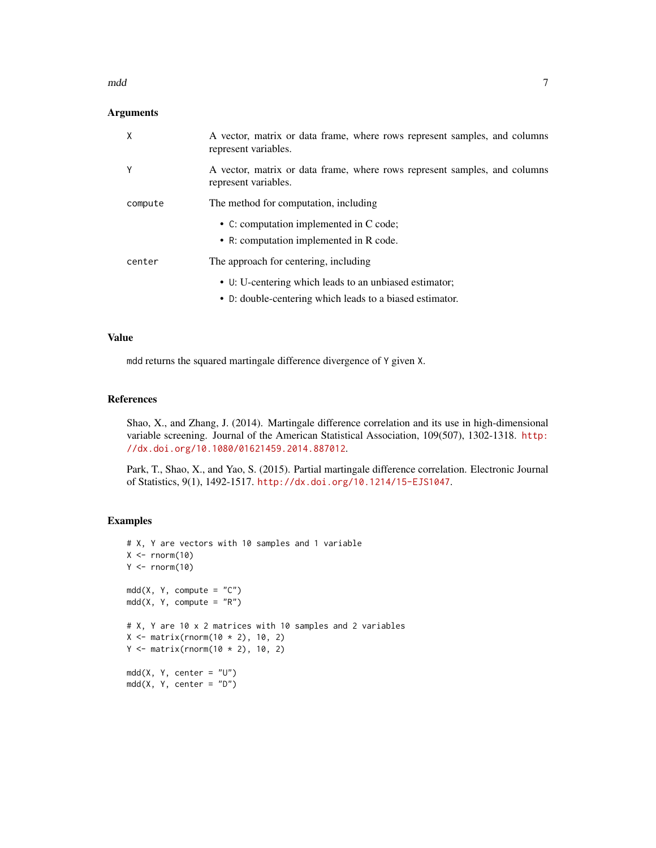#### mdd 77

#### Arguments

| X       | A vector, matrix or data frame, where rows represent samples, and columns<br>represent variables. |
|---------|---------------------------------------------------------------------------------------------------|
| Υ       | A vector, matrix or data frame, where rows represent samples, and columns<br>represent variables. |
| compute | The method for computation, including                                                             |
|         | • C: computation implemented in C code;                                                           |
|         | • R: computation implemented in R code.                                                           |
| center  | The approach for centering, including                                                             |
|         | • U: U-centering which leads to an unbiased estimator;                                            |
|         | • D: double-centering which leads to a biased estimator.                                          |

#### Value

mdd returns the squared martingale difference divergence of Y given X.

#### References

Shao, X., and Zhang, J. (2014). Martingale difference correlation and its use in high-dimensional variable screening. Journal of the American Statistical Association, 109(507), 1302-1318. [http:](http://dx.doi.org/10.1080/01621459.2014.887012) [//dx.doi.org/10.1080/01621459.2014.887012](http://dx.doi.org/10.1080/01621459.2014.887012).

Park, T., Shao, X., and Yao, S. (2015). Partial martingale difference correlation. Electronic Journal of Statistics, 9(1), 1492-1517. <http://dx.doi.org/10.1214/15-EJS1047>.

```
# X, Y are vectors with 10 samples and 1 variable
X \leftarrow \text{norm}(10)Y \leftarrow \text{norm}(10)mdd(X, Y, compute = "C")mdd(X, Y, compute = "R")# X, Y are 10 x 2 matrices with 10 samples and 2 variables
X \leq - matrix(rnorm(10 * 2), 10, 2)
Y \le - matrix(rnorm(10 * 2), 10, 2)
mdd(X, Y, center = "U")mdd(X, Y, center = "D")
```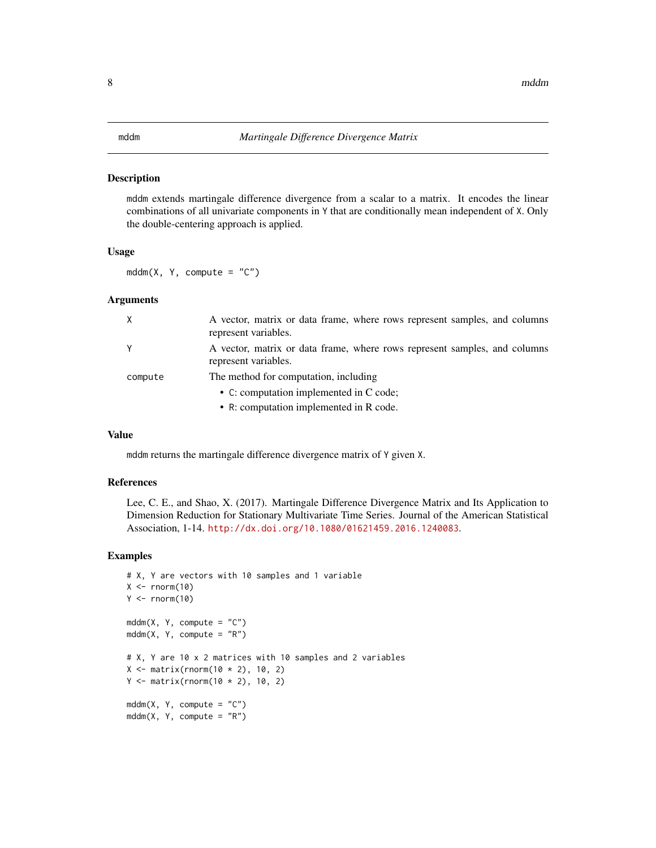#### <span id="page-7-0"></span>Description

mddm extends martingale difference divergence from a scalar to a matrix. It encodes the linear combinations of all univariate components in Y that are conditionally mean independent of X. Only the double-centering approach is applied.

#### Usage

 $mddm(X, Y, compute = "C")$ 

#### Arguments

| $\mathsf{x}$ | A vector, matrix or data frame, where rows represent samples, and columns<br>represent variables. |
|--------------|---------------------------------------------------------------------------------------------------|
| Y            | A vector, matrix or data frame, where rows represent samples, and columns<br>represent variables. |
| compute      | The method for computation, including                                                             |
|              | • C: computation implemented in C code;                                                           |
|              | • R: computation implemented in R code.                                                           |

#### Value

mddm returns the martingale difference divergence matrix of Y given X.

#### References

Lee, C. E., and Shao, X. (2017). Martingale Difference Divergence Matrix and Its Application to Dimension Reduction for Stationary Multivariate Time Series. Journal of the American Statistical Association, 1-14. <http://dx.doi.org/10.1080/01621459.2016.1240083>.

```
# X, Y are vectors with 10 samples and 1 variable
X \leftarrow \text{norm}(10)Y \leftarrow \text{norm}(10)mddm(X, Y, compute = "C")mddm(X, Y, compute = "R")# X, Y are 10 x 2 matrices with 10 samples and 2 variables
X \leq - matrix(rnorm(10 * 2), 10, 2)
Y \leq - matrix(rnorm(10 * 2), 10, 2)
mddm(X, Y, compute = "C")mddm(X, Y, compute = "R")
```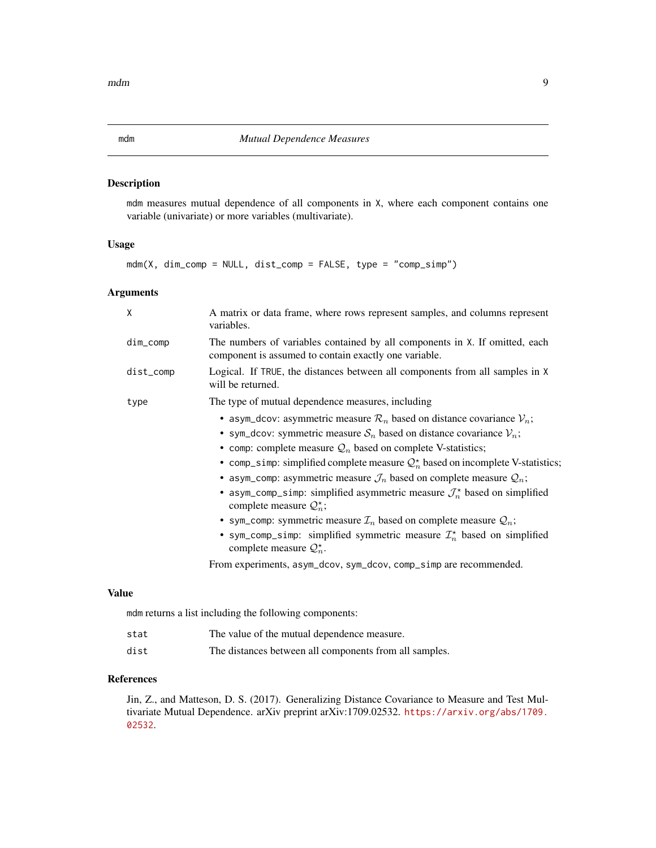#### <span id="page-8-0"></span>Description

mdm measures mutual dependence of all components in X, where each component contains one variable (univariate) or more variables (multivariate).

#### Usage

mdm(X, dim\_comp = NULL, dist\_comp = FALSE, type = "comp\_simp")

#### Arguments

| X           | A matrix or data frame, where rows represent samples, and columns represent<br>variables.                                            |
|-------------|--------------------------------------------------------------------------------------------------------------------------------------|
| $dim\_comp$ | The numbers of variables contained by all components in X. If omitted, each<br>component is assumed to contain exactly one variable. |
| dist_comp   | Logical. If TRUE, the distances between all components from all samples in X<br>will be returned.                                    |
| type        | The type of mutual dependence measures, including                                                                                    |
|             | • asym_dcov: asymmetric measure $\mathcal{R}_n$ based on distance covariance $\mathcal{V}_n$ ;                                       |
|             | • sym_dcov: symmetric measure $S_n$ based on distance covariance $V_n$ ;                                                             |
|             | • comp: complete measure $\mathcal{Q}_n$ based on complete V-statistics;                                                             |
|             | • comp_simp: simplified complete measure $Q_n^*$ based on incomplete V-statistics;                                                   |
|             | • asym_comp: asymmetric measure $\mathcal{J}_n$ based on complete measure $\mathcal{Q}_n$ ;                                          |
|             | • asym_comp_simp: simplified asymmetric measure $\mathcal{J}_n^*$ based on simplified<br>complete measure $\mathcal{Q}_n^*$ ;        |
|             | • sym_comp: symmetric measure $\mathcal{I}_n$ based on complete measure $\mathcal{Q}_n$ ;                                            |
|             | • sym_comp_simp: simplified symmetric measure $\mathcal{I}_n^{\star}$ based on simplified<br>complete measure $\mathcal{Q}_n^*$ .    |
|             | From experiments, asym_dcov, sym_dcov, comp_simp are recommended.                                                                    |
|             |                                                                                                                                      |

#### Value

mdm returns a list including the following components:

| stat | The value of the mutual dependence measure.            |
|------|--------------------------------------------------------|
| dist | The distances between all components from all samples. |

#### References

Jin, Z., and Matteson, D. S. (2017). Generalizing Distance Covariance to Measure and Test Multivariate Mutual Dependence. arXiv preprint arXiv:1709.02532. [https://arxiv.org/abs/1709.](https://arxiv.org/abs/1709.02532) [02532](https://arxiv.org/abs/1709.02532).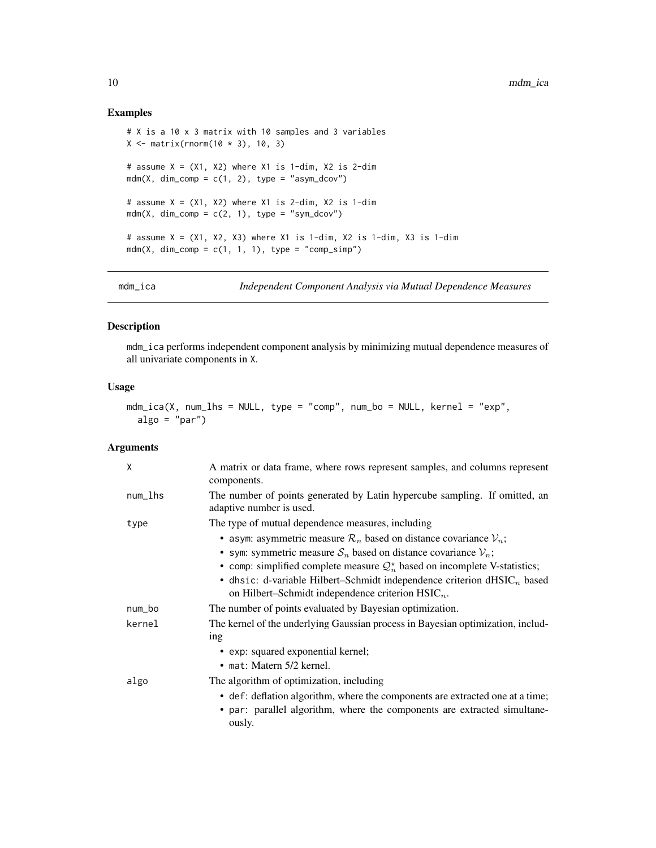#### Examples

```
# X is a 10 x 3 matrix with 10 samples and 3 variables
X \leq matrix(rnorm(10 * 3), 10, 3)
# assume X = (X1, X2) where X1 is 1-dim, X2 is 2-dim
mdm(X, dim_{\text{comp}} = c(1, 2), type = "asym_dcov")
# assume X = (X1, X2) where X1 is 2-dim, X2 is 1-dim
mdm(X, dim_{\text{comp}} = c(2, 1), type = "sym_dcov")
# assume X = (X1, X2, X3) where X1 is 1-dim, X2 is 1-dim, X3 is 1-dim
mdm(X, dim_{\text{comp}} = c(1, 1, 1), type = "comp_simp")
```
mdm\_ica *Independent Component Analysis via Mutual Dependence Measures*

#### Description

mdm\_ica performs independent component analysis by minimizing mutual dependence measures of all univariate components in X.

#### Usage

```
mdm\_ica(X, num\_lhs = NULL, type = "comp", num\_bo = NULL, kernel = "exp",algo = "par")
```
### Arguments

| X       | A matrix or data frame, where rows represent samples, and columns represent<br>components.                                                                                                                                                                                                          |
|---------|-----------------------------------------------------------------------------------------------------------------------------------------------------------------------------------------------------------------------------------------------------------------------------------------------------|
| num_lhs | The number of points generated by Latin hypercube sampling. If omitted, an<br>adaptive number is used.                                                                                                                                                                                              |
| type    | The type of mutual dependence measures, including<br>• asym: asymmetric measure $\mathcal{R}_n$ based on distance covariance $\mathcal{V}_n$ ;                                                                                                                                                      |
|         | • sym: symmetric measure $S_n$ based on distance covariance $V_n$ ;<br>• comp: simplified complete measure $\mathcal{Q}_n^*$ based on incomplete V-statistics;<br>• dhsic: d-variable Hilbert–Schmidt independence criterion $dHSLCn$ based<br>on Hilbert–Schmidt independence criterion $HSIC_n$ . |
| num_bo  | The number of points evaluated by Bayesian optimization.                                                                                                                                                                                                                                            |
| kernel  | The kernel of the underlying Gaussian process in Bayesian optimization, includ-<br>ing                                                                                                                                                                                                              |
|         | • exp: squared exponential kernel;                                                                                                                                                                                                                                                                  |
|         | • mat: Matern $5/2$ kernel.                                                                                                                                                                                                                                                                         |
| algo    | The algorithm of optimization, including                                                                                                                                                                                                                                                            |
|         | • def: deflation algorithm, where the components are extracted one at a time;<br>• par: parallel algorithm, where the components are extracted simultane-<br>ously.                                                                                                                                 |

<span id="page-9-0"></span>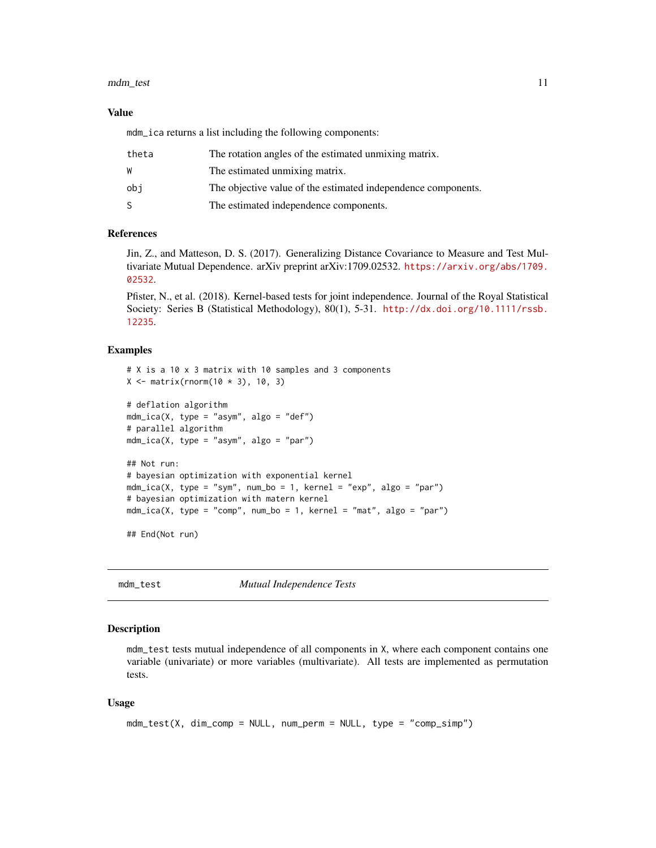#### <span id="page-10-0"></span>mdm\_test 11

#### Value

mdm\_ica returns a list including the following components:

| theta | The rotation angles of the estimated unmixing matrix.         |
|-------|---------------------------------------------------------------|
| W     | The estimated unmixing matrix.                                |
| obi   | The objective value of the estimated independence components. |
|       | The estimated independence components.                        |

#### References

Jin, Z., and Matteson, D. S. (2017). Generalizing Distance Covariance to Measure and Test Multivariate Mutual Dependence. arXiv preprint arXiv:1709.02532. [https://arxiv.org/abs/1709.](https://arxiv.org/abs/1709.02532) [02532](https://arxiv.org/abs/1709.02532).

Pfister, N., et al. (2018). Kernel-based tests for joint independence. Journal of the Royal Statistical Society: Series B (Statistical Methodology), 80(1), 5-31. [http://dx.doi.org/10.1111/rssb.](http://dx.doi.org/10.1111/rssb.12235) [12235](http://dx.doi.org/10.1111/rssb.12235).

#### Examples

```
# X is a 10 x 3 matrix with 10 samples and 3 components
X \leq - matrix(rnorm(10 * 3), 10, 3)
# deflation algorithm
mdm_ica(X, type = "asym", algo = "def")
# parallel algorithm
mdm\_ica(X, type = "asym", algo = "par")## Not run:
# bayesian optimization with exponential kernel
mdm\_ica(X, type = "sym", num\_bo = 1, kernel = "exp", algo = "par")# bayesian optimization with matern kernel
mdm\_ica(X, type = "comp", num\_bo = 1, Kernel = "mat", algo = "par")## End(Not run)
```
mdm\_test *Mutual Independence Tests*

#### Description

mdm\_test tests mutual independence of all components in X, where each component contains one variable (univariate) or more variables (multivariate). All tests are implemented as permutation tests.

#### Usage

```
mdm_test(X, dim_comp = NULL, num_perm = NULL, type = "comp_simp")
```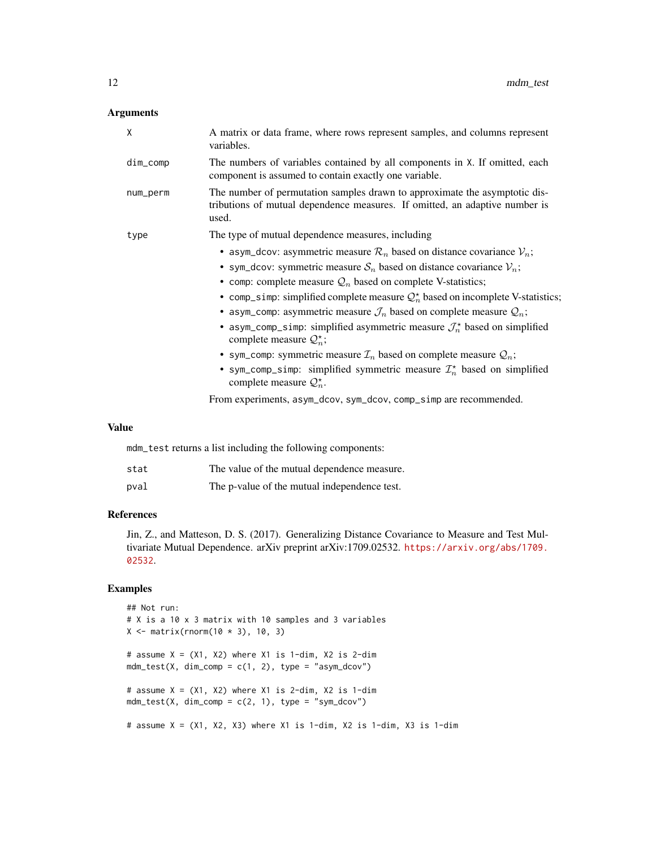### Arguments

| X        | A matrix or data frame, where rows represent samples, and columns represent<br>variables.                                                                                                                                                                                                                                                                                                                                                                                                                                                                                                                                                                                                                                                                                                                |
|----------|----------------------------------------------------------------------------------------------------------------------------------------------------------------------------------------------------------------------------------------------------------------------------------------------------------------------------------------------------------------------------------------------------------------------------------------------------------------------------------------------------------------------------------------------------------------------------------------------------------------------------------------------------------------------------------------------------------------------------------------------------------------------------------------------------------|
| dim_comp | The numbers of variables contained by all components in X. If omitted, each<br>component is assumed to contain exactly one variable.                                                                                                                                                                                                                                                                                                                                                                                                                                                                                                                                                                                                                                                                     |
| num_perm | The number of permutation samples drawn to approximate the asymptotic dis-<br>tributions of mutual dependence measures. If omitted, an adaptive number is<br>used.                                                                                                                                                                                                                                                                                                                                                                                                                                                                                                                                                                                                                                       |
| type     | The type of mutual dependence measures, including                                                                                                                                                                                                                                                                                                                                                                                                                                                                                                                                                                                                                                                                                                                                                        |
|          | • asym_dcov: asymmetric measure $\mathcal{R}_n$ based on distance covariance $\mathcal{V}_n$ ;<br>• sym_dcov: symmetric measure $S_n$ based on distance covariance $V_n$ ;<br>• comp: complete measure $\mathcal{Q}_n$ based on complete V-statistics;<br>• comp_simp: simplified complete measure $Q_n^*$ based on incomplete V-statistics;<br>• asym_comp: asymmetric measure $\mathcal{J}_n$ based on complete measure $\mathcal{Q}_n$ ;<br>• asym_comp_simp: simplified asymmetric measure $\mathcal{J}_n^*$ based on simplified<br>complete measure $\mathcal{Q}_n^*$ ;<br>• sym_comp: symmetric measure $\mathcal{I}_n$ based on complete measure $\mathcal{Q}_n$ ;<br>• sym_comp_simp: simplified symmetric measure $\mathcal{I}_n^*$ based on simplified<br>complete measure $\mathcal{Q}_n^*$ . |
|          | From experiments, asym_dcov, sym_dcov, comp_simp are recommended.                                                                                                                                                                                                                                                                                                                                                                                                                                                                                                                                                                                                                                                                                                                                        |
|          |                                                                                                                                                                                                                                                                                                                                                                                                                                                                                                                                                                                                                                                                                                                                                                                                          |

#### Value

mdm\_test returns a list including the following components:

| stat | The value of the mutual dependence measure.  |
|------|----------------------------------------------|
| pval | The p-value of the mutual independence test. |

#### References

Jin, Z., and Matteson, D. S. (2017). Generalizing Distance Covariance to Measure and Test Multivariate Mutual Dependence. arXiv preprint arXiv:1709.02532. [https://arxiv.org/abs/1709.](https://arxiv.org/abs/1709.02532) [02532](https://arxiv.org/abs/1709.02532).

```
## Not run:
# X is a 10 x 3 matrix with 10 samples and 3 variables
X \leq - matrix(rnorm(10 * 3), 10, 3)
# assume X = (X1, X2) where X1 is 1-dim, X2 is 2-dim
mdm_test(X, dim_comp = c(1, 2), type = "asym_dcov")
# assume X = (X1, X2) where X1 is 2-dim, X2 is 1-dim
mdm_test(X, dim_comp = c(2, 1), type = "sym_dcov")
# assume X = (X1, X2, X3) where X1 is 1-dim, X2 is 1-dim, X3 is 1-dim
```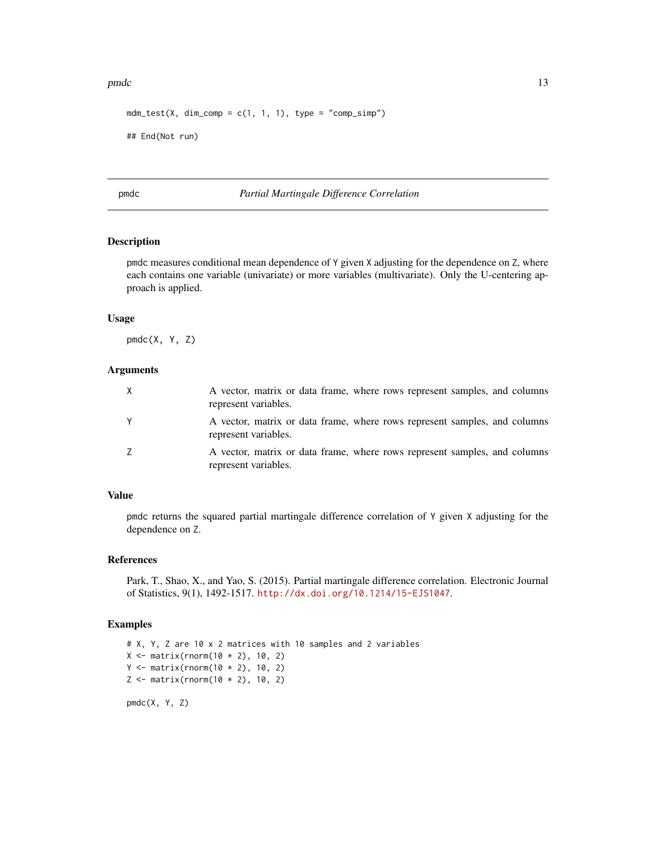#### <span id="page-12-0"></span>pmdc the contract of the contract of the contract of the contract of the contract of the contract of the contract of the contract of the contract of the contract of the contract of the contract of the contract of the contr

```
mdm_test(X, dim_comp = c(1, 1, 1), type = "comp_simp")
## End(Not run)
```
pmdc *Partial Martingale Difference Correlation*

### Description

pmdc measures conditional mean dependence of Y given X adjusting for the dependence on Z, where each contains one variable (univariate) or more variables (multivariate). Only the U-centering approach is applied.

#### Usage

pmdc(X, Y, Z)

#### Arguments

| Χ | A vector, matrix or data frame, where rows represent samples, and columns<br>represent variables. |
|---|---------------------------------------------------------------------------------------------------|
|   | A vector, matrix or data frame, where rows represent samples, and columns<br>represent variables. |
|   | A vector, matrix or data frame, where rows represent samples, and columns<br>represent variables. |

#### Value

pmdc returns the squared partial martingale difference correlation of Y given X adjusting for the dependence on Z.

#### References

Park, T., Shao, X., and Yao, S. (2015). Partial martingale difference correlation. Electronic Journal of Statistics, 9(1), 1492-1517. <http://dx.doi.org/10.1214/15-EJS1047>.

#### Examples

```
# X, Y, Z are 10 x 2 matrices with 10 samples and 2 variables
X \leq matrix(rnorm(10 * 2), 10, 2)
Y \leq - matrix(rnorm(10 * 2), 10, 2)
Z \leq - matrix(rnorm(10 * 2), 10, 2)
```
pmdc(X, Y, Z)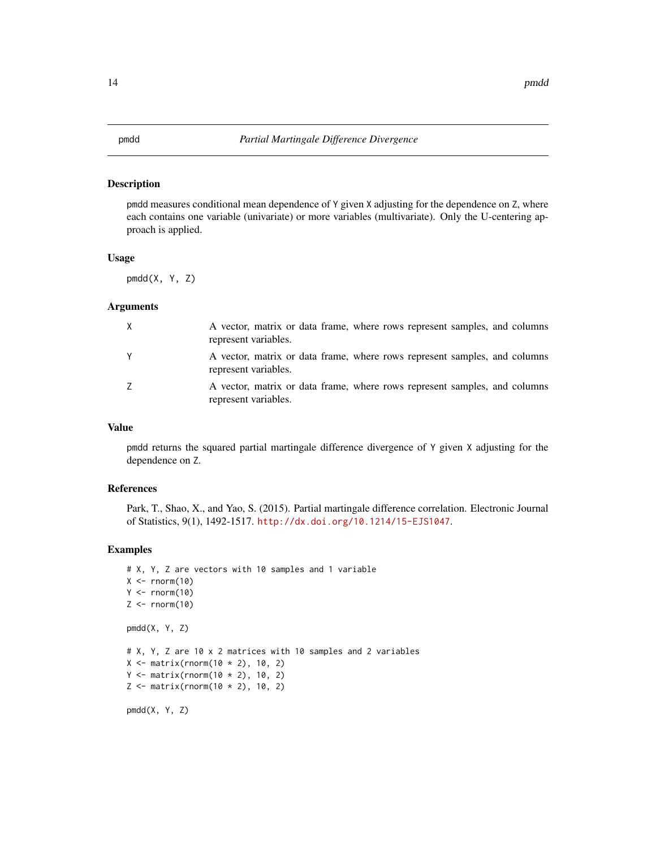#### <span id="page-13-0"></span>Description

pmdd measures conditional mean dependence of Y given X adjusting for the dependence on Z, where each contains one variable (univariate) or more variables (multivariate). Only the U-centering approach is applied.

#### Usage

pmdd(X, Y, Z)

#### Arguments

| X | A vector, matrix or data frame, where rows represent samples, and columns<br>represent variables. |
|---|---------------------------------------------------------------------------------------------------|
| Y | A vector, matrix or data frame, where rows represent samples, and columns<br>represent variables. |
| Z | A vector, matrix or data frame, where rows represent samples, and columns<br>represent variables. |

#### Value

pmdd returns the squared partial martingale difference divergence of Y given X adjusting for the dependence on Z.

#### References

Park, T., Shao, X., and Yao, S. (2015). Partial martingale difference correlation. Electronic Journal of Statistics, 9(1), 1492-1517. <http://dx.doi.org/10.1214/15-EJS1047>.

```
# X, Y, Z are vectors with 10 samples and 1 variable
X \leftarrow \text{norm}(10)Y \le - rnorm(10)Z \leftarrow \text{norm}(10)pmdd(X, Y, Z)
# X, Y, Z are 10 x 2 matrices with 10 samples and 2 variables
X \leq - matrix(rnorm(10 * 2), 10, 2)
Y \le matrix(rnorm(10 * 2), 10, 2)
Z \leq - matrix(rnorm(10 * 2), 10, 2)
pmdd(X, Y, Z)
```